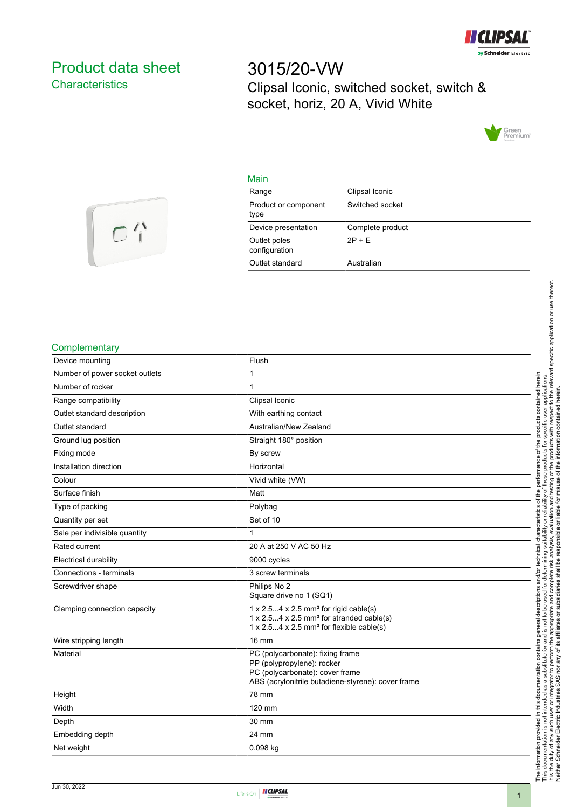

# <span id="page-0-0"></span>Product data sheet **Characteristics**

3015/20-VW Clipsal Iconic, switched socket, switch & socket, horiz, 20 A, Vivid White



# T

|    | ۹ |  |
|----|---|--|
|    |   |  |
| __ |   |  |
|    |   |  |
|    |   |  |

| <u>iviali i</u>               |                  |
|-------------------------------|------------------|
| Range                         | Clipsal Iconic   |
| Product or component<br>type  | Switched socket  |
| Device presentation           | Complete product |
| Outlet poles<br>configuration | $2P + F$         |
| Outlet standard               | Australian       |
|                               |                  |

### **Complementary**

| Device mounting                | Flush                                                                                                                                |
|--------------------------------|--------------------------------------------------------------------------------------------------------------------------------------|
| Number of power socket outlets | 1                                                                                                                                    |
| Number of rocker               | 1                                                                                                                                    |
| Range compatibility            | Clipsal Iconic                                                                                                                       |
| Outlet standard description    | With earthing contact                                                                                                                |
| Outlet standard                | Australian/New Zealand                                                                                                               |
| Ground lug position            | Straight 180° position                                                                                                               |
| Fixing mode                    | By screw                                                                                                                             |
| Installation direction         | Horizontal                                                                                                                           |
| Colour                         | Vivid white (VW)                                                                                                                     |
| Surface finish                 | Matt                                                                                                                                 |
| Type of packing                | Polybag                                                                                                                              |
| Quantity per set               | Set of 10                                                                                                                            |
| Sale per indivisible quantity  | 1                                                                                                                                    |
| Rated current                  | 20 A at 250 V AC 50 Hz                                                                                                               |
| Electrical durability          | 9000 cycles                                                                                                                          |
| Connections - terminals        | 3 screw terminals                                                                                                                    |
| Screwdriver shape              | Philips No 2                                                                                                                         |
|                                | Square drive no 1 (SQ1)                                                                                                              |
| Clamping connection capacity   | $1 \times 2.54 \times 2.5$ mm <sup>2</sup> for rigid cable(s)                                                                        |
|                                | $1 \times 2.54 \times 2.5$ mm <sup>2</sup> for stranded cable(s)<br>$1 \times 2.54 \times 2.5$ mm <sup>2</sup> for flexible cable(s) |
|                                |                                                                                                                                      |
| Wire stripping length          | <b>16 mm</b>                                                                                                                         |
| Material                       | PC (polycarbonate): fixing frame                                                                                                     |
|                                | PP (polypropylene): rocker                                                                                                           |
|                                | PC (polycarbonate): cover frame<br>ABS (acrylonitrile butadiene-styrene): cover frame                                                |
|                                |                                                                                                                                      |
| Height                         | 78 mm                                                                                                                                |
| Width                          | 120 mm                                                                                                                               |
| Depth                          | 30 mm                                                                                                                                |
| Embedding depth                | 24 mm                                                                                                                                |
| Net weight                     | 0.098 kg                                                                                                                             |